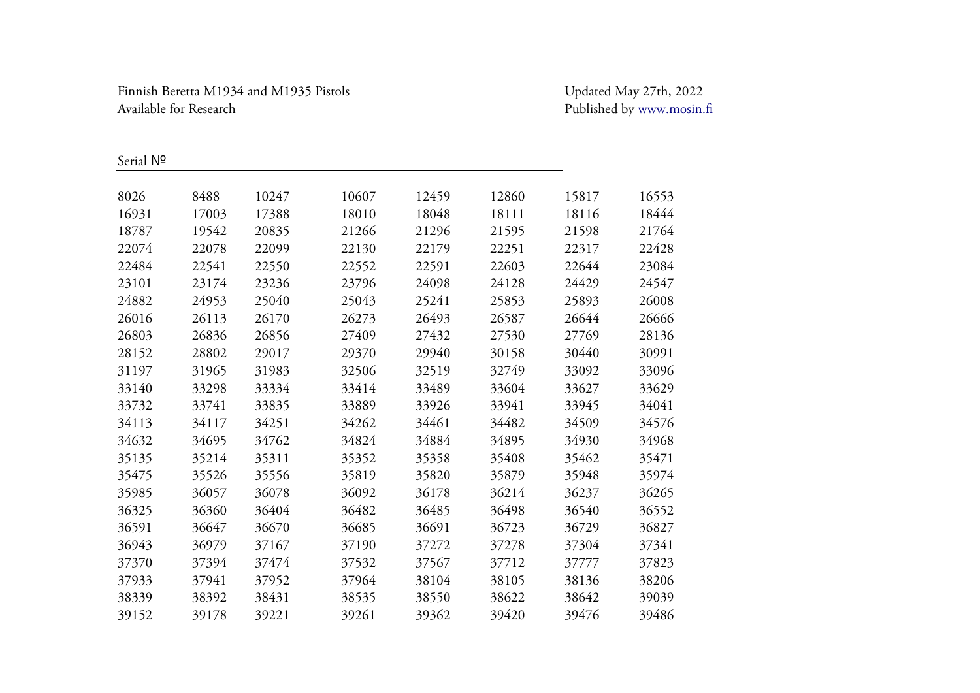## Finnish Beretta M1934 and M1935 Pistols Updated May 27th, 2022 Available for Research

## Published by [www.mosin.fi](http://www.mosin.fi/)

| Serial Nº |       |       |       |       |       |       |       |
|-----------|-------|-------|-------|-------|-------|-------|-------|
| 8026      | 8488  | 10247 | 10607 | 12459 | 12860 | 15817 | 16553 |
| 16931     | 17003 | 17388 | 18010 | 18048 | 18111 | 18116 | 18444 |
| 18787     | 19542 | 20835 | 21266 | 21296 | 21595 | 21598 | 21764 |
| 22074     | 22078 | 22099 | 22130 | 22179 | 22251 | 22317 | 22428 |
| 22484     | 22541 | 22550 | 22552 | 22591 | 22603 | 22644 | 23084 |
| 23101     | 23174 | 23236 | 23796 | 24098 | 24128 | 24429 | 24547 |
| 24882     | 24953 | 25040 | 25043 | 25241 | 25853 | 25893 | 26008 |
| 26016     | 26113 | 26170 | 26273 | 26493 | 26587 | 26644 | 26666 |
| 26803     | 26836 | 26856 | 27409 | 27432 | 27530 | 27769 | 28136 |
| 28152     | 28802 | 29017 | 29370 | 29940 | 30158 | 30440 | 30991 |
| 31197     | 31965 | 31983 | 32506 | 32519 | 32749 | 33092 | 33096 |
| 33140     | 33298 | 33334 | 33414 | 33489 | 33604 | 33627 | 33629 |
| 33732     | 33741 | 33835 | 33889 | 33926 | 33941 | 33945 | 34041 |
| 34113     | 34117 | 34251 | 34262 | 34461 | 34482 | 34509 | 34576 |
| 34632     | 34695 | 34762 | 34824 | 34884 | 34895 | 34930 | 34968 |
| 35135     | 35214 | 35311 | 35352 | 35358 | 35408 | 35462 | 35471 |
| 35475     | 35526 | 35556 | 35819 | 35820 | 35879 | 35948 | 35974 |
| 35985     | 36057 | 36078 | 36092 | 36178 | 36214 | 36237 | 36265 |
| 36325     | 36360 | 36404 | 36482 | 36485 | 36498 | 36540 | 36552 |
| 36591     | 36647 | 36670 | 36685 | 36691 | 36723 | 36729 | 36827 |
| 36943     | 36979 | 37167 | 37190 | 37272 | 37278 | 37304 | 37341 |
| 37370     | 37394 | 37474 | 37532 | 37567 | 37712 | 37777 | 37823 |
| 37933     | 37941 | 37952 | 37964 | 38104 | 38105 | 38136 | 38206 |
| 38339     | 38392 | 38431 | 38535 | 38550 | 38622 | 38642 | 39039 |
| 39152     | 39178 | 39221 | 39261 | 39362 | 39420 | 39476 | 39486 |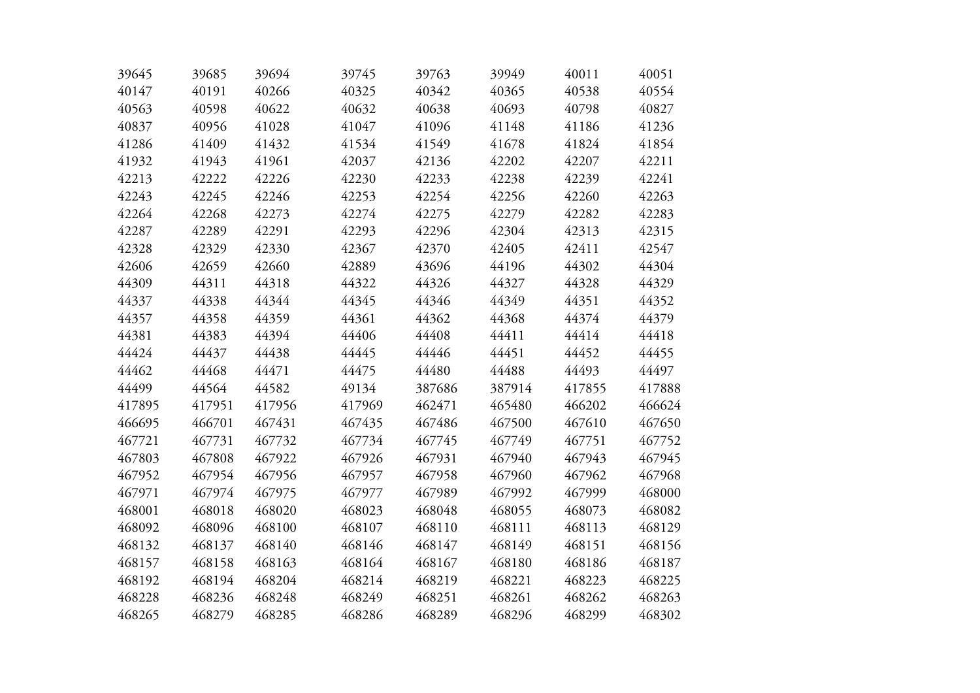| 39645  | 39685  | 39694  | 39745  | 39763  | 39949  | 40011  | 40051  |
|--------|--------|--------|--------|--------|--------|--------|--------|
| 40147  | 40191  | 40266  | 40325  | 40342  | 40365  | 40538  | 40554  |
| 40563  | 40598  | 40622  | 40632  | 40638  | 40693  | 40798  | 40827  |
| 40837  | 40956  | 41028  | 41047  | 41096  | 41148  | 41186  | 41236  |
| 41286  | 41409  | 41432  | 41534  | 41549  | 41678  | 41824  | 41854  |
| 41932  | 41943  | 41961  | 42037  | 42136  | 42202  | 42207  | 42211  |
| 42213  | 42222  | 42226  | 42230  | 42233  | 42238  | 42239  | 42241  |
| 42243  | 42245  | 42246  | 42253  | 42254  | 42256  | 42260  | 42263  |
| 42264  | 42268  | 42273  | 42274  | 42275  | 42279  | 42282  | 42283  |
| 42287  | 42289  | 42291  | 42293  | 42296  | 42304  | 42313  | 42315  |
| 42328  | 42329  | 42330  | 42367  | 42370  | 42405  | 42411  | 42547  |
| 42606  | 42659  | 42660  | 42889  | 43696  | 44196  | 44302  | 44304  |
| 44309  | 44311  | 44318  | 44322  | 44326  | 44327  | 44328  | 44329  |
| 44337  | 44338  | 44344  | 44345  | 44346  | 44349  | 44351  | 44352  |
| 44357  | 44358  | 44359  | 44361  | 44362  | 44368  | 44374  | 44379  |
| 44381  | 44383  | 44394  | 44406  | 44408  | 44411  | 44414  | 44418  |
| 44424  | 44437  | 44438  | 44445  | 44446  | 44451  | 44452  | 44455  |
| 44462  | 44468  | 44471  | 44475  | 44480  | 44488  | 44493  | 44497  |
| 44499  | 44564  | 44582  | 49134  | 387686 | 387914 | 417855 | 417888 |
| 417895 | 417951 | 417956 | 417969 | 462471 | 465480 | 466202 | 466624 |
| 466695 | 466701 | 467431 | 467435 | 467486 | 467500 | 467610 | 467650 |
| 467721 | 467731 | 467732 | 467734 | 467745 | 467749 | 467751 | 467752 |
| 467803 | 467808 | 467922 | 467926 | 467931 | 467940 | 467943 | 467945 |
| 467952 | 467954 | 467956 | 467957 | 467958 | 467960 | 467962 | 467968 |
| 467971 | 467974 | 467975 | 467977 | 467989 | 467992 | 467999 | 468000 |
| 468001 | 468018 | 468020 | 468023 | 468048 | 468055 | 468073 | 468082 |
| 468092 | 468096 | 468100 | 468107 | 468110 | 468111 | 468113 | 468129 |
| 468132 | 468137 | 468140 | 468146 | 468147 | 468149 | 468151 | 468156 |
| 468157 | 468158 | 468163 | 468164 | 468167 | 468180 | 468186 | 468187 |
| 468192 | 468194 | 468204 | 468214 | 468219 | 468221 | 468223 | 468225 |
| 468228 | 468236 | 468248 | 468249 | 468251 | 468261 | 468262 | 468263 |
| 468265 | 468279 | 468285 | 468286 | 468289 | 468296 | 468299 | 468302 |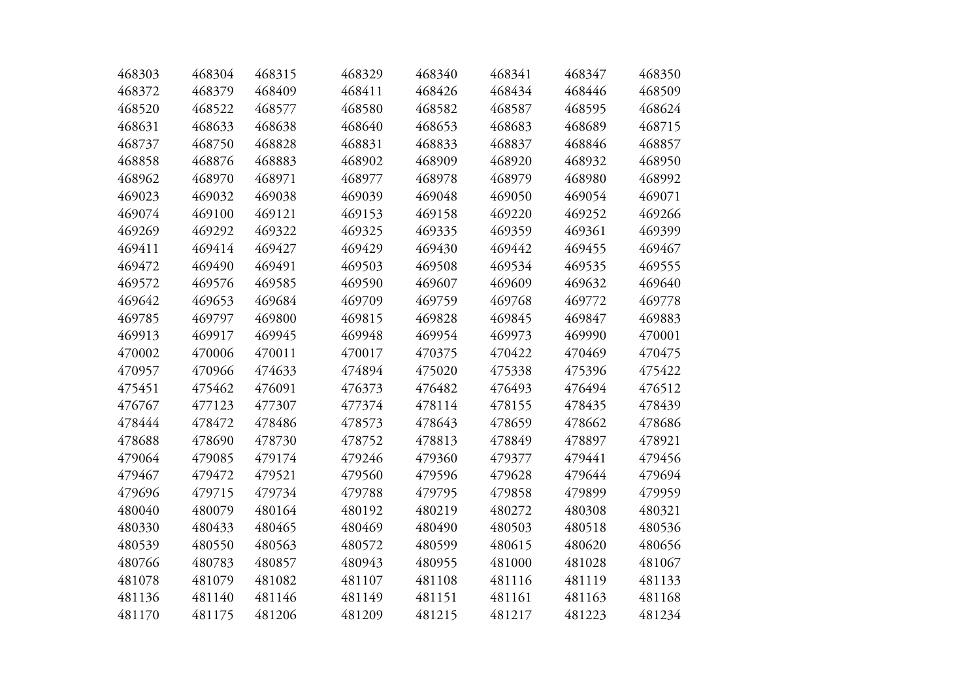| 468303 | 468304 | 468315 | 468329 | 468340 | 468341 | 468347 | 468350 |
|--------|--------|--------|--------|--------|--------|--------|--------|
| 468372 | 468379 | 468409 | 468411 | 468426 | 468434 | 468446 | 468509 |
| 468520 | 468522 | 468577 | 468580 | 468582 | 468587 | 468595 | 468624 |
| 468631 | 468633 | 468638 | 468640 | 468653 | 468683 | 468689 | 468715 |
| 468737 | 468750 | 468828 | 468831 | 468833 | 468837 | 468846 | 468857 |
| 468858 | 468876 | 468883 | 468902 | 468909 | 468920 | 468932 | 468950 |
| 468962 | 468970 | 468971 | 468977 | 468978 | 468979 | 468980 | 468992 |
| 469023 | 469032 | 469038 | 469039 | 469048 | 469050 | 469054 | 469071 |
| 469074 | 469100 | 469121 | 469153 | 469158 | 469220 | 469252 | 469266 |
| 469269 | 469292 | 469322 | 469325 | 469335 | 469359 | 469361 | 469399 |
| 469411 | 469414 | 469427 | 469429 | 469430 | 469442 | 469455 | 469467 |
| 469472 | 469490 | 469491 | 469503 | 469508 | 469534 | 469535 | 469555 |
| 469572 | 469576 | 469585 | 469590 | 469607 | 469609 | 469632 | 469640 |
| 469642 | 469653 | 469684 | 469709 | 469759 | 469768 | 469772 | 469778 |
| 469785 | 469797 | 469800 | 469815 | 469828 | 469845 | 469847 | 469883 |
| 469913 | 469917 | 469945 | 469948 | 469954 | 469973 | 469990 | 470001 |
| 470002 | 470006 | 470011 | 470017 | 470375 | 470422 | 470469 | 470475 |
| 470957 | 470966 | 474633 | 474894 | 475020 | 475338 | 475396 | 475422 |
| 475451 | 475462 | 476091 | 476373 | 476482 | 476493 | 476494 | 476512 |
| 476767 | 477123 | 477307 | 477374 | 478114 | 478155 | 478435 | 478439 |
| 478444 | 478472 | 478486 | 478573 | 478643 | 478659 | 478662 | 478686 |
| 478688 | 478690 | 478730 | 478752 | 478813 | 478849 | 478897 | 478921 |
| 479064 | 479085 | 479174 | 479246 | 479360 | 479377 | 479441 | 479456 |
| 479467 | 479472 | 479521 | 479560 | 479596 | 479628 | 479644 | 479694 |
| 479696 | 479715 | 479734 | 479788 | 479795 | 479858 | 479899 | 479959 |
| 480040 | 480079 | 480164 | 480192 | 480219 | 480272 | 480308 | 480321 |
| 480330 | 480433 | 480465 | 480469 | 480490 | 480503 | 480518 | 480536 |
| 480539 | 480550 | 480563 | 480572 | 480599 | 480615 | 480620 | 480656 |
| 480766 | 480783 | 480857 | 480943 | 480955 | 481000 | 481028 | 481067 |
| 481078 | 481079 | 481082 | 481107 | 481108 | 481116 | 481119 | 481133 |
| 481136 | 481140 | 481146 | 481149 | 481151 | 481161 | 481163 | 481168 |
| 481170 | 481175 | 481206 | 481209 | 481215 | 481217 | 481223 | 481234 |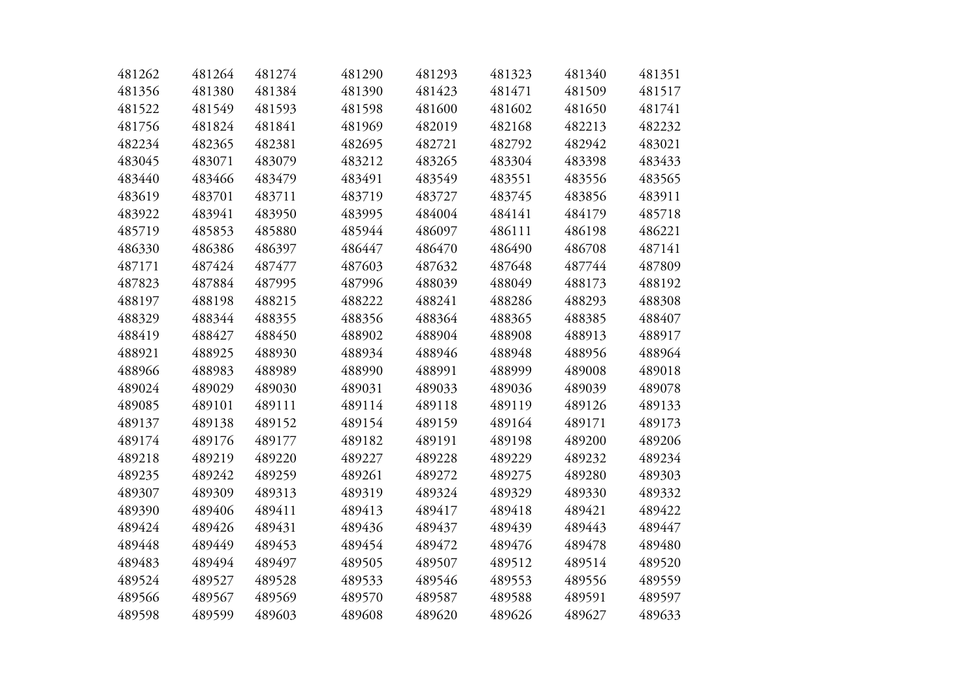| 481262 | 481264 | 481274 | 481290 | 481293 | 481323 | 481340 | 481351 |
|--------|--------|--------|--------|--------|--------|--------|--------|
| 481356 | 481380 | 481384 | 481390 | 481423 | 481471 | 481509 | 481517 |
| 481522 | 481549 | 481593 | 481598 | 481600 | 481602 | 481650 | 481741 |
| 481756 | 481824 | 481841 | 481969 | 482019 | 482168 | 482213 | 482232 |
| 482234 | 482365 | 482381 | 482695 | 482721 | 482792 | 482942 | 483021 |
| 483045 | 483071 | 483079 | 483212 | 483265 | 483304 | 483398 | 483433 |
| 483440 | 483466 | 483479 | 483491 | 483549 | 483551 | 483556 | 483565 |
| 483619 | 483701 | 483711 | 483719 | 483727 | 483745 | 483856 | 483911 |
| 483922 | 483941 | 483950 | 483995 | 484004 | 484141 | 484179 | 485718 |
| 485719 | 485853 | 485880 | 485944 | 486097 | 486111 | 486198 | 486221 |
| 486330 | 486386 | 486397 | 486447 | 486470 | 486490 | 486708 | 487141 |
| 487171 | 487424 | 487477 | 487603 | 487632 | 487648 | 487744 | 487809 |
| 487823 | 487884 | 487995 | 487996 | 488039 | 488049 | 488173 | 488192 |
| 488197 | 488198 | 488215 | 488222 | 488241 | 488286 | 488293 | 488308 |
| 488329 | 488344 | 488355 | 488356 | 488364 | 488365 | 488385 | 488407 |
| 488419 | 488427 | 488450 | 488902 | 488904 | 488908 | 488913 | 488917 |
| 488921 | 488925 | 488930 | 488934 | 488946 | 488948 | 488956 | 488964 |
| 488966 | 488983 | 488989 | 488990 | 488991 | 488999 | 489008 | 489018 |
| 489024 | 489029 | 489030 | 489031 | 489033 | 489036 | 489039 | 489078 |
| 489085 | 489101 | 489111 | 489114 | 489118 | 489119 | 489126 | 489133 |
| 489137 | 489138 | 489152 | 489154 | 489159 | 489164 | 489171 | 489173 |
| 489174 | 489176 | 489177 | 489182 | 489191 | 489198 | 489200 | 489206 |
| 489218 | 489219 | 489220 | 489227 | 489228 | 489229 | 489232 | 489234 |
| 489235 | 489242 | 489259 | 489261 | 489272 | 489275 | 489280 | 489303 |
| 489307 | 489309 | 489313 | 489319 | 489324 | 489329 | 489330 | 489332 |
| 489390 | 489406 | 489411 | 489413 | 489417 | 489418 | 489421 | 489422 |
| 489424 | 489426 | 489431 | 489436 | 489437 | 489439 | 489443 | 489447 |
| 489448 | 489449 | 489453 | 489454 | 489472 | 489476 | 489478 | 489480 |
| 489483 | 489494 | 489497 | 489505 | 489507 | 489512 | 489514 | 489520 |
| 489524 | 489527 | 489528 | 489533 | 489546 | 489553 | 489556 | 489559 |
| 489566 | 489567 | 489569 | 489570 | 489587 | 489588 | 489591 | 489597 |
| 489598 | 489599 | 489603 | 489608 | 489620 | 489626 | 489627 | 489633 |